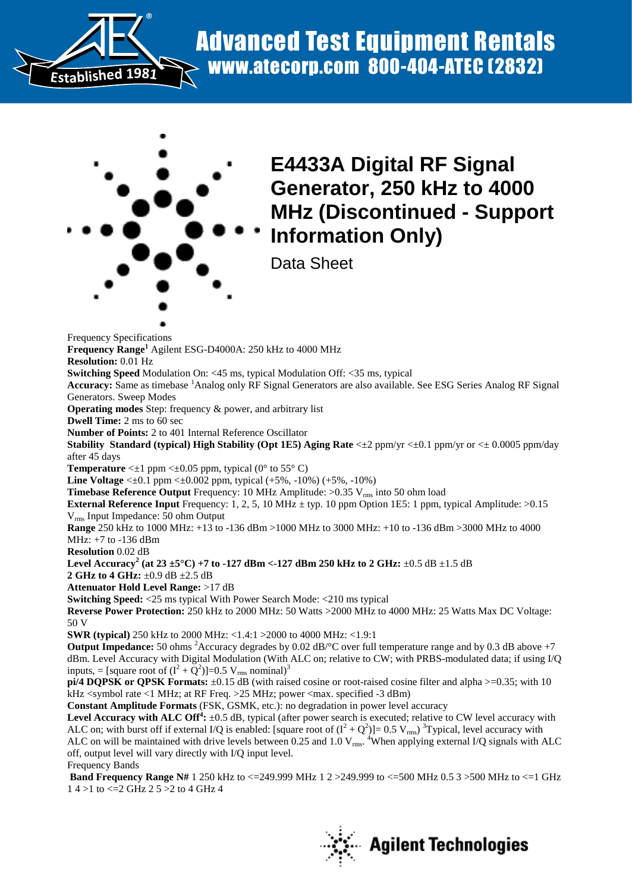



1 4 >1 to <=2 GHz 2 5 >2 to 4 GHz 4

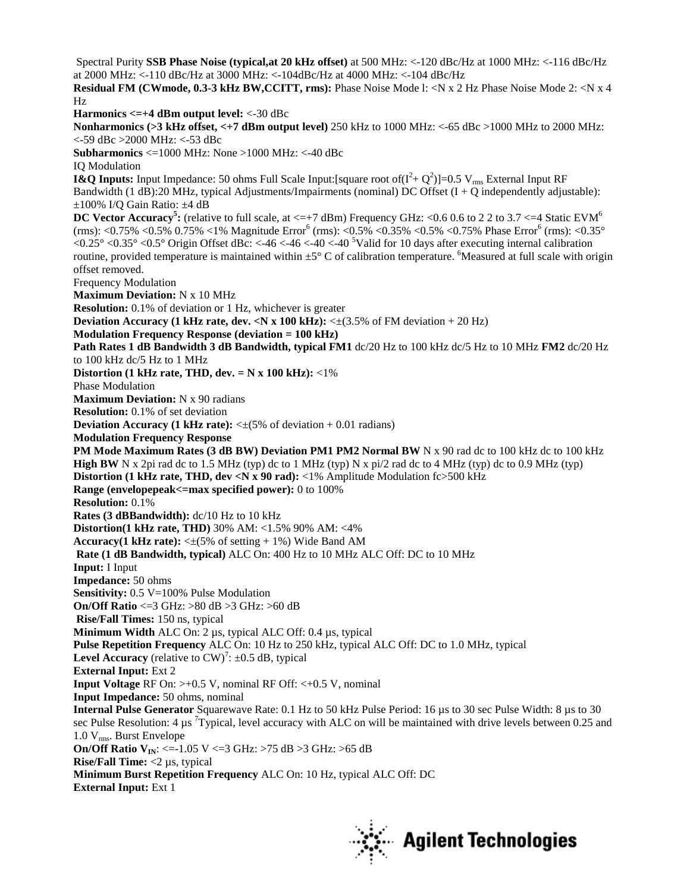Spectral Purity **SSB Phase Noise (typical,at 20 kHz offset)** at 500 MHz: <-120 dBc/Hz at 1000 MHz: <-116 dBc/Hz at 2000 MHz: <-110 dBc/Hz at 3000 MHz: <-104dBc/Hz at 4000 MHz: <-104 dBc/Hz **Residual FM (CWmode, 0.3-3 kHz BW,CCITT, rms):** Phase Noise Mode l: <N x 2 Hz Phase Noise Mode 2: <N x 4 Hz **Harmonics <=+4 dBm output level:** <-30 dBc **Nonharmonics (>3 kHz offset, <+7 dBm output level)** 250 kHz to 1000 MHz: <-65 dBc >1000 MHz to 2000 MHz: <-59 dBc >2000 MHz: <-53 dBc **Subharmonics** <=1000 MHz: None >1000 MHz: <-40 dBc IQ Modulation  $I\&Q$  Inputs: Input Impedance: 50 ohms Full Scale Input:[square root of(I<sup>2</sup>+ Q<sup>2</sup>)]=0.5 V<sub>rms</sub> External Input RF Bandwidth (1 dB):20 MHz, typical Adjustments/Impairments (nominal) DC Offset  $(I + Q)$  independently adjustable): ±100% I/Q Gain Ratio: ±4 dB **DC Vector Accuracy<sup>5</sup>:** (relative to full scale, at <=+7 dBm) Frequency GHz: <0.6 0.6 to 2 2 to 3.7 <=4 Static EVM<sup>6</sup> (rms): <0.75% <0.5% 0.75% <1% Magnitude Error<sup>6</sup> (rms): <0.5% <0.35% <0.5% <0.75% Phase Error<sup>6</sup> (rms): <0.35°  $<$  0.25°  $<$  0.35°  $<$  0.5° Origin Offset dBc:  $<$  46  $<$  46  $<$  40  $<$  40<sup>5</sup>Valid for 10 days after executing internal calibration routine, provided temperature is maintained within  $\pm 5^{\circ}$  C of calibration temperature. <sup>6</sup>Measured at full scale with origin offset removed. Frequency Modulation **Maximum Deviation:** N x 10 MHz **Resolution:** 0.1% of deviation or 1 Hz, whichever is greater **Deviation Accuracy (1 kHz rate, dev. <N x 100 kHz):**  $\leq \pm (3.5\% \text{ of FM deviation} + 20 \text{ Hz})$ **Modulation Frequency Response (deviation = 100 kHz) Path Rates 1 dB Bandwidth 3 dB Bandwidth, typical FM1** dc/20 Hz to 100 kHz dc/5 Hz to 10 MHz **FM2** dc/20 Hz to 100 kHz dc/5 Hz to 1 MHz **Distortion (1 kHz rate, THD, dev. = N x 100 kHz):** <1% Phase Modulation **Maximum Deviation:** N x 90 radians **Resolution:** 0.1% of set deviation **Deviation Accuracy (1 kHz rate):**  $\leq \pm (5\% \text{ of deviation} + 0.01 \text{ radians})$ **Modulation Frequency Response PM Mode Maximum Rates (3 dB BW) Deviation PM1 PM2 Normal BW** N x 90 rad dc to 100 kHz dc to 100 kHz **High BW** N x 2pi rad dc to 1.5 MHz (typ) dc to 1 MHz (typ) N x pi/2 rad dc to 4 MHz (typ) dc to 0.9 MHz (typ) **Distortion (1 kHz rate, THD, dev <N x 90 rad):** <1% Amplitude Modulation fc>500 kHz **Range (envelopepeak<=max specified power):** 0 to 100% **Resolution:** 0.1% **Rates (3 dBBandwidth):** dc/10 Hz to 10 kHz **Distortion(1 kHz rate, THD)** 30% AM: <1.5% 90% AM: <4% **Accuracy(1 kHz rate):**  $\leq \pm (5\% \text{ of setting} + 1\%)$  Wide Band AM **Rate (1 dB Bandwidth, typical)** ALC On: 400 Hz to 10 MHz ALC Off: DC to 10 MHz **Input:** I Input **Impedance:** 50 ohms **Sensitivity:** 0.5 V=100% Pulse Modulation **On/Off Ratio** <=3 GHz: >80 dB >3 GHz: >60 dB **Rise/Fall Times:** 150 ns, typical **Minimum Width** ALC On: 2 µs, typical ALC Off: 0.4 µs, typical **Pulse Repetition Frequency** ALC On: 10 Hz to 250 kHz, typical ALC Off: DC to 1.0 MHz, typical **Level Accuracy** (relative to  $CW$ <sup>7</sup>:  $\pm 0.5$  dB, typical **External Input:** Ext 2 **Input Voltage** RF On: >+0.5 V, nominal RF Off: <+0.5 V, nominal **Input Impedance:** 50 ohms, nominal **Internal Pulse Generator** Squarewave Rate: 0.1 Hz to 50 kHz Pulse Period: 16 µs to 30 sec Pulse Width: 8 µs to 30 sec Pulse Resolution: 4  $\mu$ s <sup>7</sup>Typical, level accuracy with ALC on will be maintained with drive levels between 0.25 and 1.0 Vrms. Burst Envelope **On/Off Ratio**  $V_{IN}$ **:** <=-1.05 V <=3 GHz: >75 dB >3 GHz: >65 dB **Rise/Fall Time:** <2 µs, typical **Minimum Burst Repetition Frequency** ALC On: 10 Hz, typical ALC Off: DC **External Input:** Ext 1

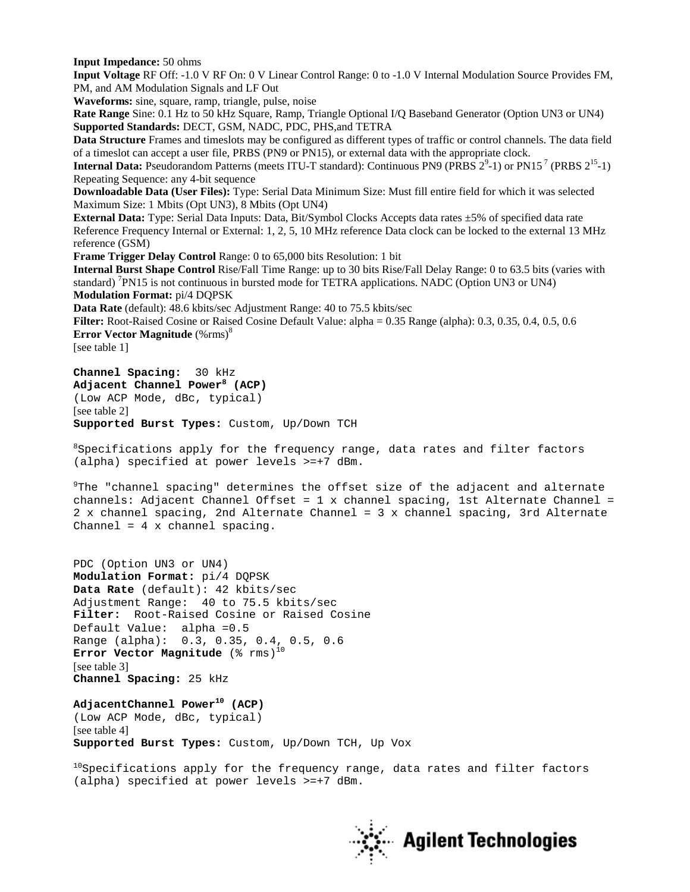**Input Impedance:** 50 ohms

**Input Voltage** RF Off: -1.0 V RF On: 0 V Linear Control Range: 0 to -1.0 V Internal Modulation Source Provides FM, PM, and AM Modulation Signals and LF Out

**Waveforms:** sine, square, ramp, triangle, pulse, noise

**Rate Range** Sine: 0.1 Hz to 50 kHz Square, Ramp, Triangle Optional I/Q Baseband Generator (Option UN3 or UN4) **Supported Standards:** DECT, GSM, NADC, PDC, PHS,and TETRA

**Data Structure** Frames and timeslots may be configured as different types of traffic or control channels. The data field of a timeslot can accept a user file, PRBS (PN9 or PN15), or external data with the appropriate clock.

**Internal Data:** Pseudorandom Patterns (meets ITU-T standard): Continuous PN9 (PRBS 2<sup>9</sup>-1) or PN15<sup>7</sup> (PRBS 2<sup>15</sup>-1) Repeating Sequence: any 4-bit sequence

**Downloadable Data (User Files):** Type: Serial Data Minimum Size: Must fill entire field for which it was selected Maximum Size: 1 Mbits (Opt UN3), 8 Mbits (Opt UN4)

**External Data:** Type: Serial Data Inputs: Data, Bit/Symbol Clocks Accepts data rates ±5% of specified data rate Reference Frequency Internal or External: 1, 2, 5, 10 MHz reference Data clock can be locked to the external 13 MHz reference (GSM)

**Frame Trigger Delay Control** Range: 0 to 65,000 bits Resolution: 1 bit

**Internal Burst Shape Control** Rise/Fall Time Range: up to 30 bits Rise/Fall Delay Range: 0 to 63.5 bits (varies with standard) <sup>7</sup>PN15 is not continuous in bursted mode for TETRA applications. NADC (Option UN3 or UN4) **Modulation Format:** pi/4 DQPSK

**Data Rate** (default): 48.6 kbits/sec Adjustment Range: 40 to 75.5 kbits/sec

**Filter:** Root-Raised Cosine or Raised Cosine Default Value: alpha = 0.35 Range (alpha): 0.3, 0.35, 0.4, 0.5, 0.6 **Error Vector Magnitude** (%rms)<sup>8</sup>

[see table 1]

**Channel Spacing:** 30 kHz **Adjacent Channel Power<sup>8</sup> (ACP)** (Low ACP Mode, dBc, typical) [see table 2] **Supported Burst Types:** Custom, Up/Down TCH

<sup>8</sup>Specifications apply for the frequency range, data rates and filter factors (alpha) specified at power levels >=+7 dBm.

 $^{9}$ The "channel spacing" determines the offset size of the adjacent and alternate channels: Adjacent Channel Offset=1x channel spacing, 1st Alternate Channel = 2 x channel spacing, 2nd Alternate Channel = 3 x channel spacing, 3rd Alternate Channel =  $4 \times$  channel spacing.

PDC (Option UN3 or UN4) **Modulation Format:** pi/4 DQPSK **Data Rate** (default): 42 kbits/sec Adjustment Range: 40 to 75.5 kbits/sec **Filter:** Root-Raised Cosine or Raised Cosine Default Value: alpha =0.5 Range (alpha): 0.3, 0.35, 0.4, 0.5, 0.6 **Error Vector Magnitude** (% rms)<sup>10</sup> [see table 3] **Channel Spacing:** 25 kHz

**AdjacentChannel Power<sup>10</sup> (ACP)** (Low ACP Mode, dBc, typical) [see table 4] **Supported Burst Types:** Custom, Up/Down TCH, Up Vox

 $^{10}$ Specifications apply for the frequency range, data rates and filter factors (alpha) specified at power levels >=+7 dBm.

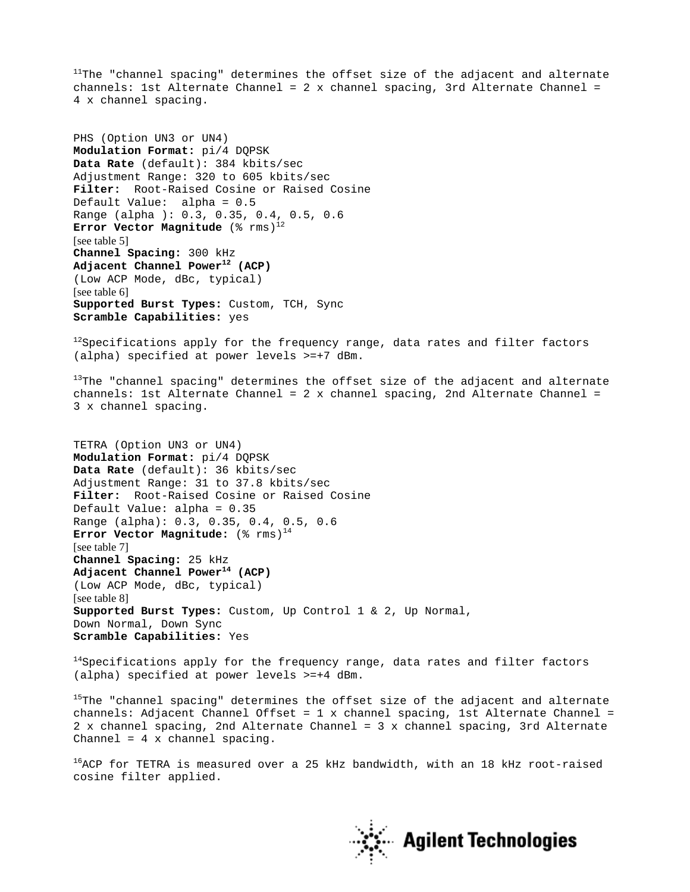$11$ The "channel spacing" determines the offset size of the adjacent and alternate channels: 1st Alternate Channel = 2 x channel spacing, 3rd Alternate Channel = 4 x channel spacing.

PHS (Option UN3 or UN4) **Modulation Format:** pi/4 DQPSK **Data Rate** (default): 384 kbits/sec Adjustment Range: 320 to 605 kbits/sec **Filter:** Root-Raised Cosine or Raised Cosine Default Value: alpha = 0.5 Range (alpha ): 0.3, 0.35, 0.4, 0.5, 0.6 **Error Vector Magnitude** (% rms)<sup>12</sup> [see table 5] **Channel Spacing:** 300 kHz **Adjacent Channel Power<sup>12</sup> (ACP)** (Low ACP Mode, dBc, typical) [see table 6] **Supported Burst Types:** Custom, TCH, Sync **Scramble Capabilities:** yes

 $12$ Specifications apply for the frequency range, data rates and filter factors (alpha) specified at power levels >=+7 dBm.

<sup>13</sup>The "channel spacing" determines the offset size of the adjacent and alternate channels: 1st Alternate Channel = 2 x channel spacing, 2nd Alternate Channel = 3 x channel spacing.

TETRA (Option UN3 or UN4) **Modulation Format:** pi/4 DQPSK **Data Rate** (default): 36 kbits/sec Adjustment Range: 31 to 37.8 kbits/sec **Filter:** Root-Raised Cosine or Raised Cosine Default Value: alpha = 0.35 Range (alpha): 0.3, 0.35, 0.4, 0.5, 0.6 **Error Vector Magnitude:**  $(\text{m s})^{14}$ [see table 7] **Channel Spacing:** 25 kHz **Adjacent Channel Power<sup>14</sup> (ACP)** (Low ACP Mode, dBc, typical) [see table 8] **Supported Burst Types:** Custom, Up Control 1 & 2, Up Normal, Down Normal, Down Sync **Scramble Capabilities:** Yes

 $14$ Specifications apply for the frequency range, data rates and filter factors (alpha) specified at power levels >=+4 dBm.

<sup>15</sup>The "channel spacing" determines the offset size of the adjacent and alternate channels: Adjacent Channel Offset=1x channel spacing, 1st Alternate Channel = 2 x channel spacing, 2nd Alternate Channel=3x channel spacing, 3rd Alternate Channel =  $4 \times$  channel spacing.

 $^{16}$ ACP for TETRA is measured over a 25 kHz bandwidth, with an 18 kHz root-raised cosine filter applied.

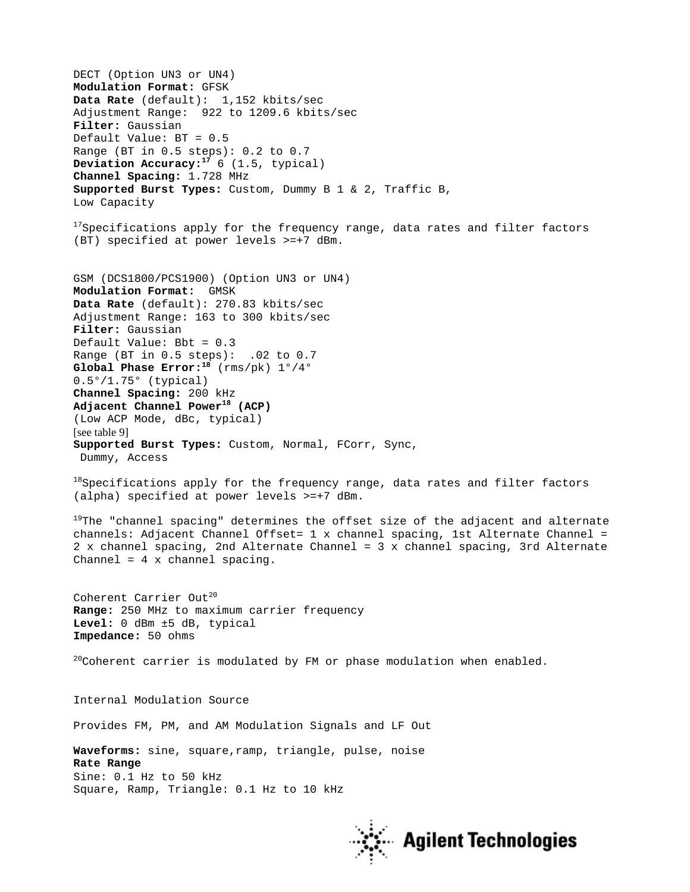DECT (Option UN3 or UN4) **Modulation Format:** GFSK **Data Rate** (default): 1,152 kbits/sec Adjustment Range: 922 to 1209.6 kbits/sec **Filter:** Gaussian Default Value: BT = 0.5 Range (BT in 0.5 steps): 0.2 to 0.7 **Deviation Accuracy:<sup>17</sup>** 6 (1.5, typical) **Channel Spacing:** 1.728 MHz **Supported Burst Types:** Custom, Dummy B 1 & 2, Traffic B, Low Capacity <sup>17</sup>Specifications apply for the frequency range, data rates and filter factors (BT) specified at power levels >=+7 dBm. GSM (DCS1800/PCS1900) (Option UN3 or UN4) **Modulation Format:** GMSK **Data Rate** (default): 270.83 kbits/sec Adjustment Range: 163 to 300 kbits/sec **Filter:** Gaussian Default Value: Bbt = 0.3 Range (BT in 0.5 steps): .02 to 0.7 **Global Phase Error:<sup>18</sup>** (rms/pk) 1°/4° 0.5°/1.75° (typical) **Channel Spacing:** 200 kHz **Adjacent Channel Power<sup>18</sup> (ACP)** (Low ACP Mode, dBc, typical) [see table 9] **Supported Burst Types:** Custom, Normal, FCorr, Sync, Dummy, Access  $18$ Specifications apply for the frequency range, data rates and filter factors (alpha) specified at power levels >=+7 dBm. <sup>19</sup>The "channel spacing" determines the offset size of the adjacent and alternate channels: Adjacent Channel Offset= 1 x channel spacing, 1st Alternate Channel = 2 x channel spacing, 2nd Alternate Channel = 3 x channel spacing, 3rd Alternate Channel =  $4 \times$  channel spacing. Coherent Carrier Out<sup>20</sup> **Range:** 250 MHz to maximum carrier frequency **Level:** 0 dBm ±5 dB, typical **Impedance:** 50 ohms  $^{20}$ Coherent carrier is modulated by FM or phase modulation when enabled. Internal Modulation Source Provides FM, PM, and AM Modulation Signals and LF Out **Waveforms:** sine, square,ramp, triangle, pulse, noise **Rate Range** Sine: 0.1 Hz to 50 kHz Square, Ramp, Triangle: 0.1 Hz to 10 kHz

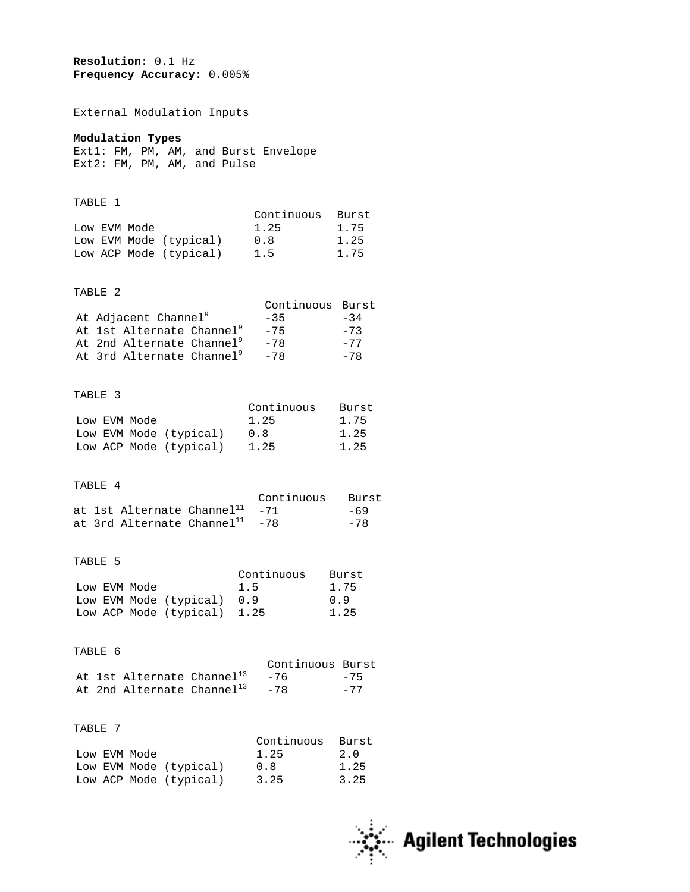**Resolution:** 0.1 Hz **Frequency Accuracy:** 0.005%

External Modulation Inputs

# **Modulation Types**

Ext1: FM, PM, AM, and Burst Envelope Ext2: FM, PM, AM, and Pulse

### TABLE 1

|  |              |                        | Continuous | Burst |
|--|--------------|------------------------|------------|-------|
|  | Low EVM Mode |                        | 1.25       | 1.75  |
|  |              | Low EVM Mode (typical) | 0.8        | 1.25  |
|  |              | Low ACP Mode (typical) | 1.5        | 1.75  |

# TABLE 2

|                                       | Continuous Burst |       |
|---------------------------------------|------------------|-------|
| At Adjacent Channel <sup>9</sup>      | $-35$            | $-34$ |
| At 1st Alternate Channel <sup>9</sup> | $-75$            | $-73$ |
| At 2nd Alternate Channel <sup>9</sup> | $-78$            | $-77$ |
| At 3rd Alternate Channel <sup>9</sup> | $-78$            | $-78$ |
|                                       |                  |       |

### TABLE 3

| -------- |  |              |                        |            |       |  |  |
|----------|--|--------------|------------------------|------------|-------|--|--|
|          |  |              |                        | Continuous | Burst |  |  |
|          |  | Low EVM Mode |                        | 1.25       | 1.75  |  |  |
|          |  |              | Low EVM Mode (typical) | 0.8        | 1.25  |  |  |
|          |  |              | Low ACP Mode (typical) | 1.25       | 1.25  |  |  |

## TABLE 4

|  |                                            | Continuous | Burst |
|--|--------------------------------------------|------------|-------|
|  | at 1st Alternate Channel <sup>11</sup> -71 |            | -69   |
|  | at 3rd Alternate Channel <sup>11</sup> -78 |            | $-78$ |

### TABLE 5

| ------- |  |              |                        |                             |  |  |
|---------|--|--------------|------------------------|-----------------------------|--|--|
|         |  |              | Continuous             | Burst                       |  |  |
|         |  |              | 1.5                    | 1.75                        |  |  |
|         |  |              | 0.9                    | 0.9                         |  |  |
|         |  |              |                        | 1.25                        |  |  |
|         |  | Low EVM Mode | Low EVM Mode (typical) | Low ACP Mode (typical) 1.25 |  |  |

## TABLE 6

| ------- |                                            |                  |       |
|---------|--------------------------------------------|------------------|-------|
|         |                                            | Continuous Burst |       |
|         | At 1st Alternate Channel <sup>13</sup> -76 |                  | -75   |
|         | At 2nd Alternate Channel <sup>13</sup> -78 |                  | $-77$ |

## TABLE 7

| ------- |              |                        |            |       |
|---------|--------------|------------------------|------------|-------|
|         |              |                        | Continuous | Burst |
|         | Low EVM Mode |                        | 1.25       | 2.0   |
|         |              | Low EVM Mode (typical) | 0.8        | 1.25  |
|         |              | Low ACP Mode (typical) | 3.25       | 3.25  |